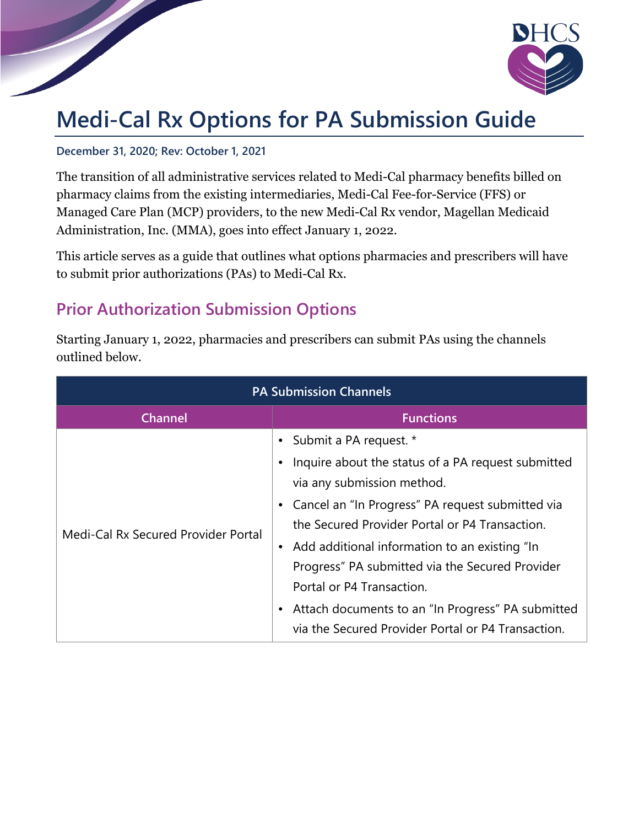

## **Medi-Cal Rx Options for PA Submission Guide**

## **December 31, 2020; Rev: October 1, 2021**

The transition of all administrative services related to Medi-Cal pharmacy benefits billed on pharmacy claims from the existing intermediaries, Medi-Cal Fee-for-Service (FFS) or Managed Care Plan (MCP) providers, to the new Medi-Cal Rx vendor, Magellan Medicaid Administration, Inc. (MMA), goes into effect January 1, 2022.

This article serves as a guide that outlines what options pharmacies and prescribers will have to submit prior authorizations (PAs) to Medi-Cal Rx.

## **Prior Authorization Submission Options**

Starting January 1, 2022, pharmacies and prescribers can submit PAs using the channels outlined below.

| <b>PA Submission Channels</b>       |                                                                                                                                                                                                                                                                                                                                                    |  |
|-------------------------------------|----------------------------------------------------------------------------------------------------------------------------------------------------------------------------------------------------------------------------------------------------------------------------------------------------------------------------------------------------|--|
| <b>Channel</b>                      | <b>Functions</b>                                                                                                                                                                                                                                                                                                                                   |  |
| Medi-Cal Rx Secured Provider Portal | • Submit a PA request. *<br>Inquire about the status of a PA request submitted<br>$\bullet$<br>via any submission method.<br>• Cancel an "In Progress" PA request submitted via<br>the Secured Provider Portal or P4 Transaction.<br>Add additional information to an existing "In<br>$\bullet$<br>Progress" PA submitted via the Secured Provider |  |
|                                     | Portal or P4 Transaction.<br>Attach documents to an "In Progress" PA submitted<br>$\bullet$<br>via the Secured Provider Portal or P4 Transaction.                                                                                                                                                                                                  |  |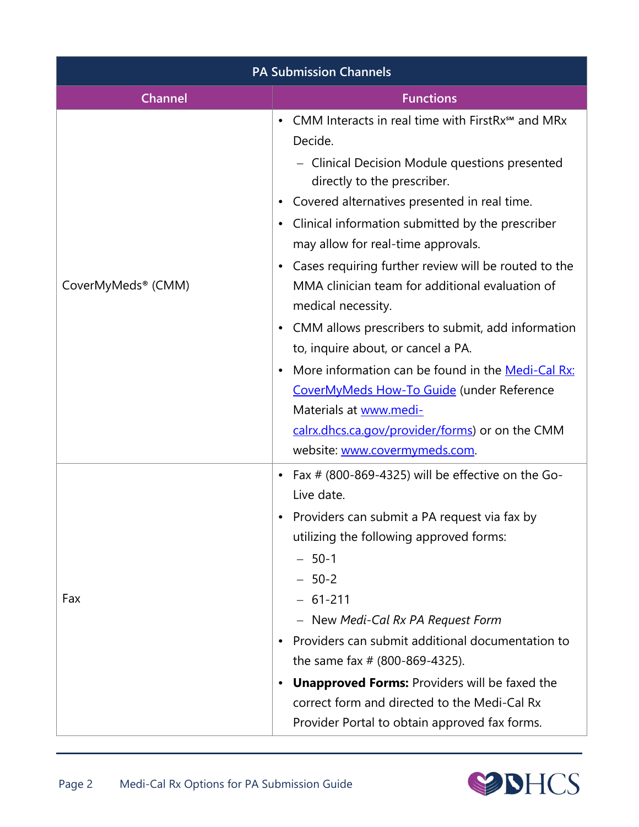| <b>PA Submission Channels</b>  |                                                                                                                                                                                                                                                                                                                                                                                                                                                                                                                                                                                                                                                                                                                                                                                                                               |
|--------------------------------|-------------------------------------------------------------------------------------------------------------------------------------------------------------------------------------------------------------------------------------------------------------------------------------------------------------------------------------------------------------------------------------------------------------------------------------------------------------------------------------------------------------------------------------------------------------------------------------------------------------------------------------------------------------------------------------------------------------------------------------------------------------------------------------------------------------------------------|
| <b>Channel</b>                 | <b>Functions</b>                                                                                                                                                                                                                                                                                                                                                                                                                                                                                                                                                                                                                                                                                                                                                                                                              |
| CoverMyMeds <sup>®</sup> (CMM) | CMM Interacts in real time with FirstRx <sup>5M</sup> and MRx<br>$\bullet$<br>Decide.<br>- Clinical Decision Module questions presented<br>directly to the prescriber.<br>Covered alternatives presented in real time.<br>$\bullet$<br>Clinical information submitted by the prescriber<br>$\bullet$<br>may allow for real-time approvals.<br>Cases requiring further review will be routed to the<br>$\bullet$<br>MMA clinician team for additional evaluation of<br>medical necessity.<br>CMM allows prescribers to submit, add information<br>$\bullet$<br>to, inquire about, or cancel a PA.<br>More information can be found in the Medi-Cal Rx:<br>$\bullet$<br>CoverMyMeds How-To Guide (under Reference<br>Materials at www.medi-<br>calrx.dhcs.ca.gov/provider/forms) or on the CMM<br>website: www.covermymeds.com. |
| Fax                            | Fax $#$ (800-869-4325) will be effective on the Go-<br>$\bullet$<br>Live date.<br>Providers can submit a PA request via fax by<br>$\bullet$<br>utilizing the following approved forms:<br>$-50-1$<br>$-50-2$<br>$-61-211$<br>- New Medi-Cal Rx PA Request Form<br>Providers can submit additional documentation to<br>$\bullet$<br>the same fax $# (800-869-4325)$ .<br><b>Unapproved Forms: Providers will be faxed the</b><br>$\bullet$<br>correct form and directed to the Medi-Cal Rx<br>Provider Portal to obtain approved fax forms.                                                                                                                                                                                                                                                                                    |